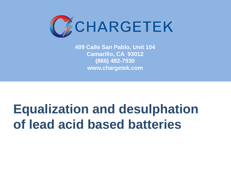

**409 Calle San Pablo, Unit 104 Camarillo, CA 93012 (866) 482-7930 www.chargetek.com**

# **Equalization and desulphation of lead acid based batteries**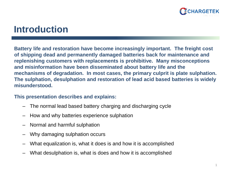

### **Introduction**

**Battery life and restoration have become increasingly important. The freight cost of shipping dead and permanently damaged batteries back for maintenance and replenishing customers with replacements is prohibitive. Many misconceptions and misinformation have been disseminated about battery life and the mechanisms of degradation. In most cases, the primary culprit is plate sulphation. The sulphation, desulphation and restoration of lead acid based batteries is widely misunderstood.**

### **This presentation describes and explains:**

- The normal lead based battery charging and discharging cycle
- How and why batteries experience sulphation
- Normal and harmful sulphation
- Why damaging sulphation occurs
- What equalization is, what it does is and how it is accomplished
- What desulphation is, what is does and how it is accomplished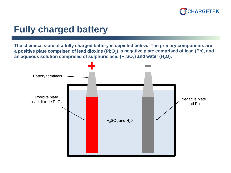

### **Fully charged battery**

**The chemical state of a fully charged battery is depicted below. The primary components are:**  a positive plate comprised of lead dioxide (PbO<sub>2</sub>), a negative plate comprised of lead (Pb), and an aqueous solution comprised of sulphuric acid (H<sub>2</sub>SO<sub>4</sub>) and water (H<sub>2</sub>O).

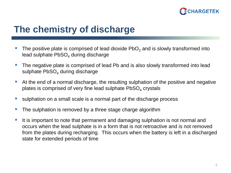

### **The chemistry of discharge**

- The positive plate is comprised of lead dioxide  $PbO<sub>2</sub>$  and is slowly transformed into lead sulphate  $PbSO<sub>4</sub>$  during discharge
- The negative plate is comprised of lead Pb and is also slowly transformed into lead sulphate  $PbSO<sub>4</sub>$  during discharge
- At the end of a normal discharge, the resulting sulphation of the positive and negative plates is comprised of very fine lead sulphate  $PbSO<sub>4</sub>$  crystals
- sulphation on a small scale is a normal part of the discharge process
- The sulphation is removed by a three stage charge algorithm
- It is important to note that permanent and damaging sulphation is not normal and occurs when the lead sulphate is in a form that is not retroactive and is not removed from the plates during recharging. This occurs when the battery is left in a discharged state for extended periods of time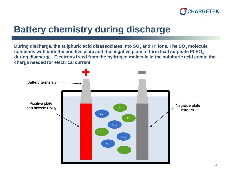

### **Battery chemistry during discharge**

**During discharge, the sulphuric acid disassociates into SO<sub>4</sub> and H<sup>+</sup> ions. The SO<sub>4</sub> molecule combines with both the positive plate and the negative plate to form lead sulphate PbSO4 during discharge. Electrons freed from the hydrogen molecule in the sulphuric acid create the charge needed for electrical current.**

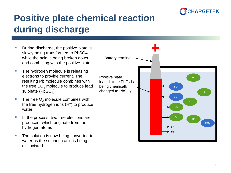

## **Positive plate chemical reaction during discharge**

- During discharge, the positive plate is slowly being transformed to PbSO4 while the acid is being broken down and combining with the positive plate
- The hydrogen molecule is releasing electrons to provide current. The resulting Pb molecule combines with the free  $SO_4$  molecule to produce lead sulphate  $(PbSO<sub>A</sub>)$
- The free  $O<sub>2</sub>$  molecule combines with the free hydrogen ions (H<sup>+</sup>) to produce water
- In the process, two free elections are produced, which originate from the hydrogen atoms
- The solution is now being converted to water as the sulphuric acid is being dissociated

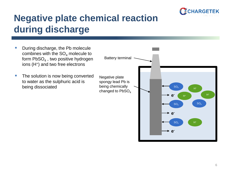

## **Negative plate chemical reaction during discharge**

 During discharge, the Pb molecule combines with the  $SO<sub>4</sub>$  molecule to form  $PbSO<sub>4</sub>$ , two positive hydrogen ions (H+) and two free electrons  $\blacksquare$  The solution is now being converted to water as the sulphuric acid is being dissociated Negative plate spongy lead Pb is being chemically changed to  $PbSO<sub>4</sub>$ Battery terminal  $SO<sub>4</sub>$ SO4  $H^+$  $H^+$ H+ H+ SO4 **ee-**SO4 **e-**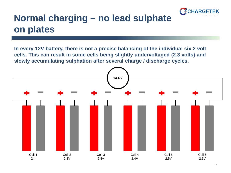

### **Normal charging – no lead sulphate on plates**

**In every 12V battery, there is not a precise balancing of the individual six 2 volt cells. This can result in some cells being slightly undervoltaged (2.3 volts) and slowly accumulating sulphation after several charge / discharge cycles.**

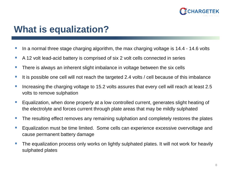

### **What is equalization?**

- If the normal three stage charging algorithm, the max charging voltage is 14.4 14.6 volts
- A 12 volt lead-acid battery is comprised of six 2 volt cells connected in series
- **There is always an inherent slight imbalance in voltage between the six cells**
- If it is possible one cell will not reach the targeted 2.4 volts / cell because of this imbalance
- Increasing the charging voltage to 15.2 volts assures that every cell will reach at least 2.5 volts to remove sulphation
- Equalization, when done properly at a low controlled current, generates slight heating of the electrolyte and forces current through plate areas that may be mildly sulphated
- The resulting effect removes any remaining sulphation and completely restores the plates
- **Equalization must be time limited. Some cells can experience excessive overvoltage and** cause permanent battery damage
- The equalization process only works on lightly sulphated plates. It will not work for heavily sulphated plates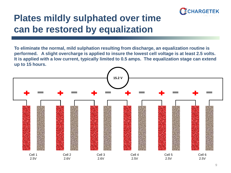

### **Plates mildly sulphated over time can be restored by equalization**

**To eliminate the normal, mild sulphation resulting from discharge, an equalization routine is performed. A slight overcharge is applied to insure the lowest cell voltage is at least 2.5 volts. It is applied with a low current, typically limited to 0.5 amps. The equalization stage can extend up to 15 hours.**

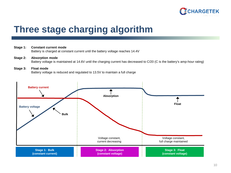

### **Three stage charging algorithm**

#### **Stage 1: Constant current mode**

Battery is charged at constant current until the battery voltage reaches 14.4V

**Stage 2: Absorption mode** Battery voltage is maintained at 14.6V until the charging current has decreased to C/20 (C is the battery's amp-hour rating)

#### **Stage 3: Float mode** Battery voltage is reduced and regulated to 13.5V to maintain a full charge

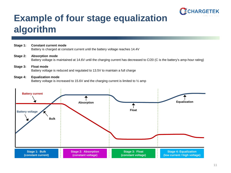

### **Example of four stage equalization algorithm**

#### **Stage 1: Constant current mode**

Battery is charged at constant current until the battery voltage reaches 14.4V

#### **Stage 2: Absorption mode**

Battery voltage is maintained at 14.6V until the charging current has decreased to C/20 (C is the battery's amp-hour rating)

#### **Stage 3: Float mode** Battery voltage is reduced and regulated to 13.5V to maintain a full charge

#### **Stage 4: Equalization mode**

Battery voltage is increased to 15.6V and the charging current is limited to  $\frac{1}{2}$  amp

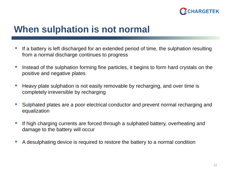

### **When sulphation is not normal**

- If a battery is left discharged for an extended period of time, the sulphation resulting from a normal discharge continues to progress
- Instead of the sulphation forming fine particles, it begins to form hard crystals on the positive and negative plates
- Heavy plate sulphation is not easily removable by recharging, and over time is completely irreversible by recharging
- Sulphated plates are a poor electrical conductor and prevent normal recharging and equalization
- If high charging currents are forced through a sulphated battery, overheating and damage to the battery will occur
- A desulphating device is required to restore the battery to a normal condition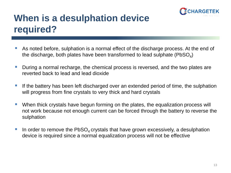

### **When is a desulphation device required?**

- As noted before, sulphation is a normal effect of the discharge process. At the end of the discharge, both plates have been transformed to lead sulphate ( $PbSO<sub>4</sub>$ )
- During a normal recharge, the chemical process is reversed, and the two plates are reverted back to lead and lead dioxide
- If the battery has been left discharged over an extended period of time, the sulphation will progress from fine crystals to very thick and hard crystals
- When thick crystals have begun forming on the plates, the equalization process will not work because not enough current can be forced through the battery to reverse the sulphation
- In order to remove the  $PbSO<sub>4</sub>$  crystals that have grown excessively, a desulphation device is required since a normal equalization process will not be effective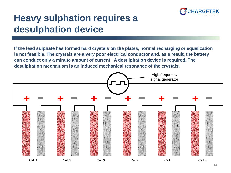

### **Heavy sulphation requires a desulphation device**

**If the lead sulphate has formed hard crystals on the plates, normal recharging or equalization is not feasible. The crystals are a very poor electrical conductor and, as a result, the battery can conduct only a minute amount of current. A desulphation device is required. The desulphation mechanism is an induced mechanical resonance of the crystals.**

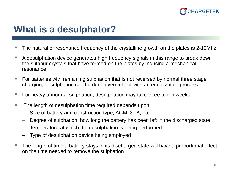

### **What is a desulphator?**

- The natural or resonance frequency of the crystalline growth on the plates is 2-10Mhz
- A desulphation device generates high frequency signals in this range to break down the sulphur crystals that have formed on the plates by inducing a mechanical resonance
- For batteries with remaining sulphation that is not reversed by normal three stage charging, desulphation can be done overnight or with an equalization process
- For heavy abnormal sulphation, desulphation may take three to ten weeks
- The length of desulphation time required depends upon:
	- Size of battery and construction type, AGM, SLA, etc.
	- Degree of sulphation: how long the battery has been left in the discharged state
	- Temperature at which the desulphation is being performed
	- Type of desulphation device being employed
- The length of time a battery stays in its discharged state will have a proportional effect on the time needed to remove the sulphation